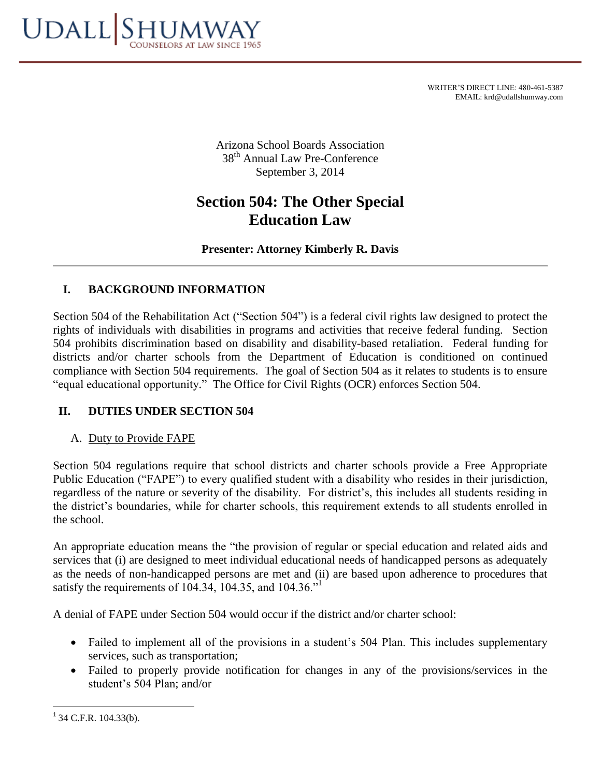

WRITER'S DIRECT LINE: 480-461-5387 EMAIL: krd@udallshumway.com

Arizona School Boards Association 38<sup>th</sup> Annual Law Pre-Conference September 3, 2014

# **Section 504: The Other Special Education Law**

### **Presenter: Attorney Kimberly R. Davis**

## **I. BACKGROUND INFORMATION**

Section 504 of the Rehabilitation Act ("Section 504") is a federal civil rights law designed to protect the rights of individuals with disabilities in programs and activities that receive federal funding. Section 504 prohibits discrimination based on disability and disability-based retaliation. Federal funding for districts and/or charter schools from the Department of Education is conditioned on continued compliance with Section 504 requirements. The goal of Section 504 as it relates to students is to ensure "equal educational opportunity." The Office for Civil Rights (OCR) enforces Section 504.

#### **II. DUTIES UNDER SECTION 504**

#### A. Duty to Provide FAPE

Section 504 regulations require that school districts and charter schools provide a Free Appropriate Public Education ("FAPE") to every qualified student with a disability who resides in their jurisdiction, regardless of the nature or severity of the disability. For district's, this includes all students residing in the district's boundaries, while for charter schools, this requirement extends to all students enrolled in the school.

An appropriate education means the "the provision of regular or special education and related aids and services that (i) are designed to meet individual educational needs of handicapped persons as adequately as the needs of non-handicapped persons are met and (ii) are based upon adherence to procedures that satisfy the requirements of  $104.34$ ,  $104.35$ , and  $104.36$ .<sup> $,1$ </sup>

A denial of FAPE under Section 504 would occur if the district and/or charter school:

- Failed to implement all of the provisions in a student's 504 Plan. This includes supplementary services, such as transportation;
- Failed to properly provide notification for changes in any of the provisions/services in the student's 504 Plan; and/or

 $\overline{\phantom{a}}$ 

 $1^1$  34 C.F.R. 104.33(b).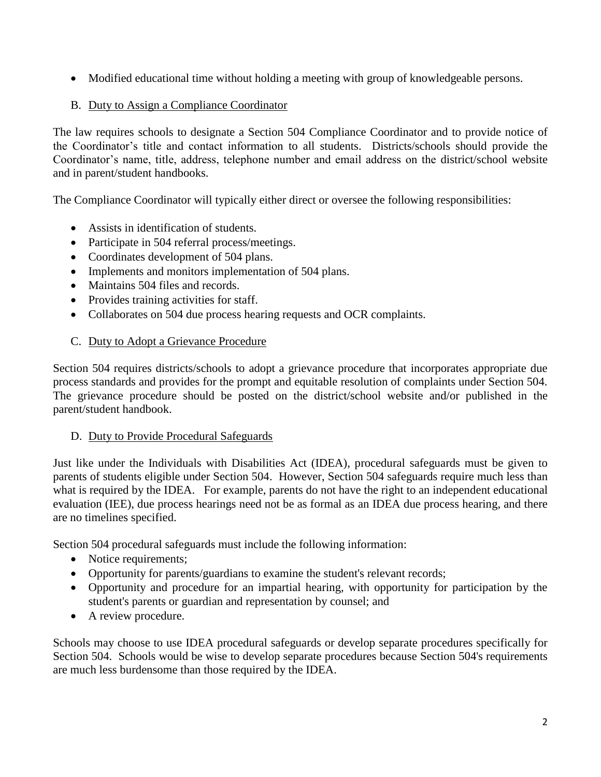• Modified educational time without holding a meeting with group of knowledgeable persons.

## B. Duty to Assign a Compliance Coordinator

The law requires schools to designate a Section 504 Compliance Coordinator and to provide notice of the Coordinator's title and contact information to all students. Districts/schools should provide the Coordinator's name, title, address, telephone number and email address on the district/school website and in parent/student handbooks.

The Compliance Coordinator will typically either direct or oversee the following responsibilities:

- Assists in identification of students.
- Participate in 504 referral process/meetings.
- Coordinates development of 504 plans.
- Implements and monitors implementation of 504 plans.
- Maintains 504 files and records.
- Provides training activities for staff.
- Collaborates on 504 due process hearing requests and OCR complaints.

#### C. Duty to Adopt a Grievance Procedure

Section 504 requires districts/schools to adopt a grievance procedure that incorporates appropriate due process standards and provides for the prompt and equitable resolution of complaints under Section 504. The grievance procedure should be posted on the district/school website and/or published in the parent/student handbook.

#### D. Duty to Provide Procedural Safeguards

Just like under the Individuals with Disabilities Act (IDEA), procedural safeguards must be given to parents of students eligible under Section 504. However, Section 504 safeguards require much less than what is required by the IDEA. For example, parents do not have the right to an independent educational evaluation (IEE), due process hearings need not be as formal as an IDEA due process hearing, and there are no timelines specified.

Section 504 procedural safeguards must include the following information:

- Notice requirements;
- Opportunity for parents/guardians to examine the student's relevant records;
- Opportunity and procedure for an impartial hearing, with opportunity for participation by the student's parents or guardian and representation by counsel; and
- A review procedure.

Schools may choose to use IDEA procedural safeguards or develop separate procedures specifically for Section 504. Schools would be wise to develop separate procedures because Section 504's requirements are much less burdensome than those required by the IDEA.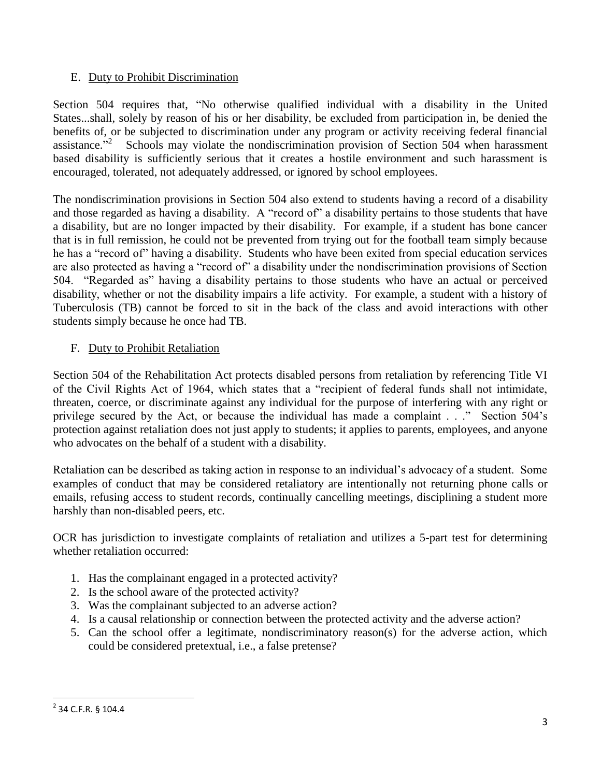#### E. Duty to Prohibit Discrimination

Section 504 requires that, "No otherwise qualified individual with a disability in the United States...shall, solely by reason of his or her disability, be excluded from participation in, be denied the benefits of, or be subjected to discrimination under any program or activity receiving federal financial assistance.<sup>"2</sup> Schools may violate the nondiscrimination provision of Section 504 when harassment based disability is sufficiently serious that it creates a hostile environment and such harassment is encouraged, tolerated, not adequately addressed, or ignored by school employees.

The nondiscrimination provisions in Section 504 also extend to students having a record of a disability and those regarded as having a disability. A "record of" a disability pertains to those students that have a disability, but are no longer impacted by their disability. For example, if a student has bone cancer that is in full remission, he could not be prevented from trying out for the football team simply because he has a "record of" having a disability. Students who have been exited from special education services are also protected as having a "record of" a disability under the nondiscrimination provisions of Section 504. "Regarded as" having a disability pertains to those students who have an actual or perceived disability, whether or not the disability impairs a life activity. For example, a student with a history of Tuberculosis (TB) cannot be forced to sit in the back of the class and avoid interactions with other students simply because he once had TB.

## F. Duty to Prohibit Retaliation

Section 504 of the Rehabilitation Act protects disabled persons from retaliation by referencing Title VI of the Civil Rights Act of 1964, which states that a "recipient of federal funds shall not intimidate, threaten, coerce, or discriminate against any individual for the purpose of interfering with any right or privilege secured by the Act, or because the individual has made a complaint . . ." Section 504's protection against retaliation does not just apply to students; it applies to parents, employees, and anyone who advocates on the behalf of a student with a disability.

Retaliation can be described as taking action in response to an individual's advocacy of a student. Some examples of conduct that may be considered retaliatory are intentionally not returning phone calls or emails, refusing access to student records, continually cancelling meetings, disciplining a student more harshly than non-disabled peers, etc.

OCR has jurisdiction to investigate complaints of retaliation and utilizes a 5-part test for determining whether retaliation occurred:

- 1. Has the complainant engaged in a protected activity?
- 2. Is the school aware of the protected activity?
- 3. Was the complainant subjected to an adverse action?
- 4. Is a causal relationship or connection between the protected activity and the adverse action?
- 5. Can the school offer a legitimate, nondiscriminatory reason(s) for the adverse action, which could be considered pretextual, i.e., a false pretense?

<sup>&</sup>lt;sup>2</sup> 34 C.F.R. § 104.4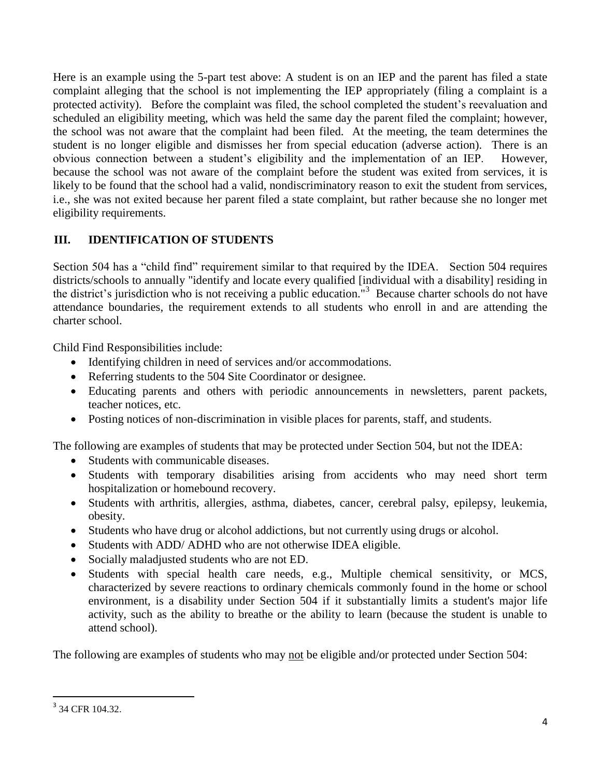Here is an example using the 5-part test above: A student is on an IEP and the parent has filed a state complaint alleging that the school is not implementing the IEP appropriately (filing a complaint is a protected activity). Before the complaint was filed, the school completed the student's reevaluation and scheduled an eligibility meeting, which was held the same day the parent filed the complaint; however, the school was not aware that the complaint had been filed. At the meeting, the team determines the student is no longer eligible and dismisses her from special education (adverse action). There is an obvious connection between a student's eligibility and the implementation of an IEP. However, because the school was not aware of the complaint before the student was exited from services, it is likely to be found that the school had a valid, nondiscriminatory reason to exit the student from services, i.e., she was not exited because her parent filed a state complaint, but rather because she no longer met eligibility requirements.

# **III. IDENTIFICATION OF STUDENTS**

Section 504 has a "child find" requirement similar to that required by the IDEA. Section 504 requires districts/schools to annually "identify and locate every qualified [individual with a disability] residing in the district's jurisdiction who is not receiving a public education."<sup>3</sup> Because charter schools do not have attendance boundaries, the requirement extends to all students who enroll in and are attending the charter school.

Child Find Responsibilities include:

- Identifying children in need of services and/or accommodations.
- Referring students to the 504 Site Coordinator or designee.
- Educating parents and others with periodic announcements in newsletters, parent packets, teacher notices, etc.
- Posting notices of non-discrimination in visible places for parents, staff, and students.

The following are examples of students that may be protected under Section 504, but not the IDEA:

- Students with communicable diseases.
- Students with temporary disabilities arising from accidents who may need short term hospitalization or homebound recovery.
- Students with arthritis, allergies, asthma, diabetes, cancer, cerebral palsy, epilepsy, leukemia, obesity.
- Students who have drug or alcohol addictions, but not currently using drugs or alcohol.
- Students with ADD/ ADHD who are not otherwise IDEA eligible.
- Socially maladjusted students who are not ED.
- Students with special health care needs, e.g., Multiple chemical sensitivity, or MCS, characterized by severe reactions to ordinary chemicals commonly found in the home or school environment, is a disability under Section 504 if it substantially limits a student's major life activity, such as the ability to breathe or the ability to learn (because the student is unable to attend school).

The following are examples of students who may not be eligible and/or protected under Section 504:

<sup>&</sup>lt;sup>3</sup> 34 CFR 104.32.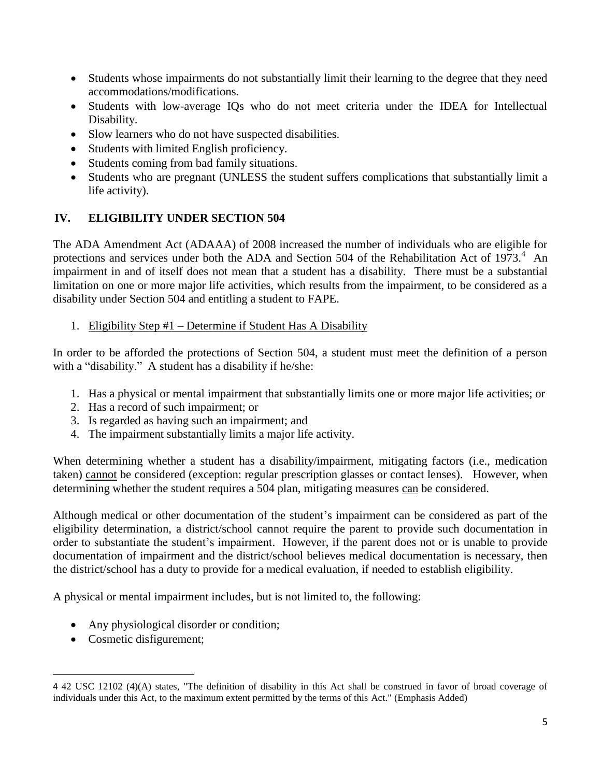- Students whose impairments do not substantially limit their learning to the degree that they need accommodations/modifications.
- Students with low-average IQs who do not meet criteria under the IDEA for Intellectual Disability.
- Slow learners who do not have suspected disabilities.
- Students with limited English proficiency.
- Students coming from bad family situations.
- Students who are pregnant (UNLESS the student suffers complications that substantially limit a life activity).

## **IV. ELIGIBILITY UNDER SECTION 504**

The ADA Amendment Act (ADAAA) of 2008 increased the number of individuals who are eligible for protections and services under both the ADA and Section 504 of the Rehabilitation Act of 1973. $4$  An impairment in and of itself does not mean that a student has a disability. There must be a substantial limitation on one or more major life activities, which results from the impairment, to be considered as a disability under Section 504 and entitling a student to FAPE.

#### 1. Eligibility Step #1 – Determine if Student Has A Disability

In order to be afforded the protections of Section 504, a student must meet the definition of a person with a "disability." A student has a disability if he/she:

- 1. Has a physical or mental impairment that substantially limits one or more major life activities; or
- 2. Has a record of such impairment; or
- 3. Is regarded as having such an impairment; and
- 4. The impairment substantially limits a major life activity.

When determining whether a student has a disability/impairment, mitigating factors (i.e., medication taken) cannot be considered (exception: regular prescription glasses or contact lenses). However, when determining whether the student requires a 504 plan, mitigating measures can be considered.

Although medical or other documentation of the student's impairment can be considered as part of the eligibility determination, a district/school cannot require the parent to provide such documentation in order to substantiate the student's impairment. However, if the parent does not or is unable to provide documentation of impairment and the district/school believes medical documentation is necessary, then the district/school has a duty to provide for a medical evaluation, if needed to establish eligibility.

A physical or mental impairment includes, but is not limited to, the following:

- Any physiological disorder or condition;
- Cosmetic disfigurement;

 $\overline{\phantom{a}}$ 

<sup>4</sup> 42 USC 12102 (4)(A) states, "The definition of disability in this Act shall be construed in favor of broad coverage of individuals under this Act, to the maximum extent permitted by the terms of this Act." (Emphasis Added)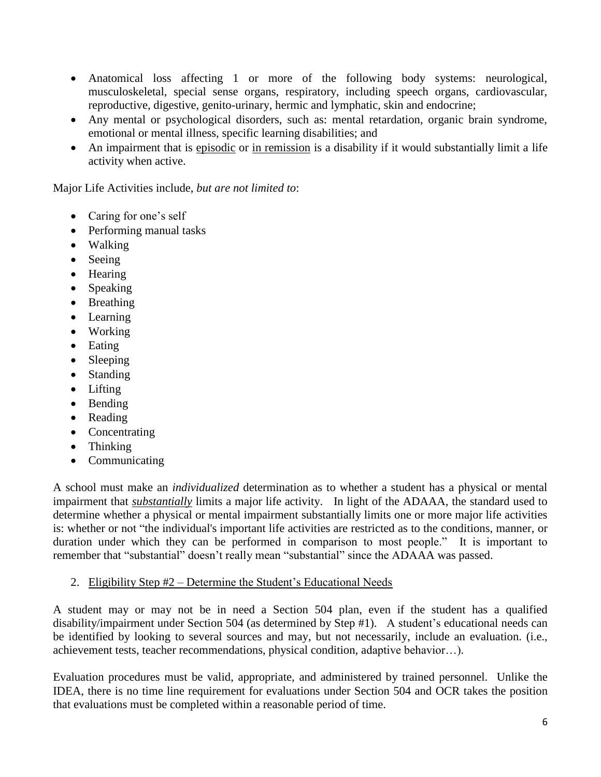- Anatomical loss affecting 1 or more of the following body systems: neurological, musculoskeletal, special sense organs, respiratory, including speech organs, cardiovascular, reproductive, digestive, genito-urinary, hermic and lymphatic, skin and endocrine;
- Any mental or psychological disorders, such as: mental retardation, organic brain syndrome, emotional or mental illness, specific learning disabilities; and
- An impairment that is episodic or in remission is a disability if it would substantially limit a life activity when active.

Major Life Activities include, *but are not limited to*:

- Caring for one's self
- Performing manual tasks
- Walking
- Seeing
- Hearing
- Speaking
- Breathing
- Learning
- Working
- Eating
- Sleeping
- Standing
- Lifting
- Bending
- Reading
- Concentrating
- Thinking
- Communicating

A school must make an *individualized* determination as to whether a student has a physical or mental impairment that *substantially* limits a major life activity. In light of the ADAAA, the standard used to determine whether a physical or mental impairment substantially limits one or more major life activities is: whether or not "the individual's important life activities are restricted as to the conditions, manner, or duration under which they can be performed in comparison to most people." It is important to remember that "substantial" doesn't really mean "substantial" since the ADAAA was passed.

#### 2. Eligibility Step #2 – Determine the Student's Educational Needs

A student may or may not be in need a Section 504 plan, even if the student has a qualified disability/impairment under Section 504 (as determined by Step #1). A student's educational needs can be identified by looking to several sources and may, but not necessarily, include an evaluation. (i.e., achievement tests, teacher recommendations, physical condition, adaptive behavior…).

Evaluation procedures must be valid, appropriate, and administered by trained personnel. Unlike the IDEA, there is no time line requirement for evaluations under Section 504 and OCR takes the position that evaluations must be completed within a reasonable period of time.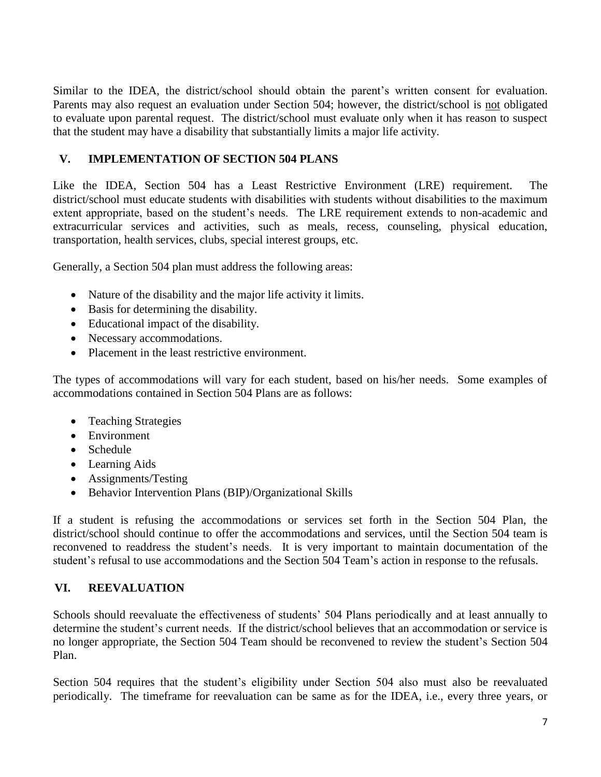Similar to the IDEA, the district/school should obtain the parent's written consent for evaluation. Parents may also request an evaluation under Section 504; however, the district/school is not obligated to evaluate upon parental request. The district/school must evaluate only when it has reason to suspect that the student may have a disability that substantially limits a major life activity.

#### **V. IMPLEMENTATION OF SECTION 504 PLANS**

Like the IDEA, Section 504 has a Least Restrictive Environment (LRE) requirement. The district/school must educate students with disabilities with students without disabilities to the maximum extent appropriate, based on the student's needs. The LRE requirement extends to non-academic and extracurricular services and activities, such as meals, recess, counseling, physical education, transportation, health services, clubs, special interest groups, etc.

Generally, a Section 504 plan must address the following areas:

- Nature of the disability and the major life activity it limits.
- Basis for determining the disability.
- Educational impact of the disability.
- Necessary accommodations.
- Placement in the least restrictive environment.

The types of accommodations will vary for each student, based on his/her needs. Some examples of accommodations contained in Section 504 Plans are as follows:

- Teaching Strategies
- Environment
- Schedule
- Learning Aids
- Assignments/Testing
- Behavior Intervention Plans (BIP)/Organizational Skills

If a student is refusing the accommodations or services set forth in the Section 504 Plan, the district/school should continue to offer the accommodations and services, until the Section 504 team is reconvened to readdress the student's needs. It is very important to maintain documentation of the student's refusal to use accommodations and the Section 504 Team's action in response to the refusals.

## **VI. REEVALUATION**

Schools should reevaluate the effectiveness of students' 504 Plans periodically and at least annually to determine the student's current needs. If the district/school believes that an accommodation or service is no longer appropriate, the Section 504 Team should be reconvened to review the student's Section 504 Plan.

Section 504 requires that the student's eligibility under Section 504 also must also be reevaluated periodically. The timeframe for reevaluation can be same as for the IDEA, i.e., every three years, or